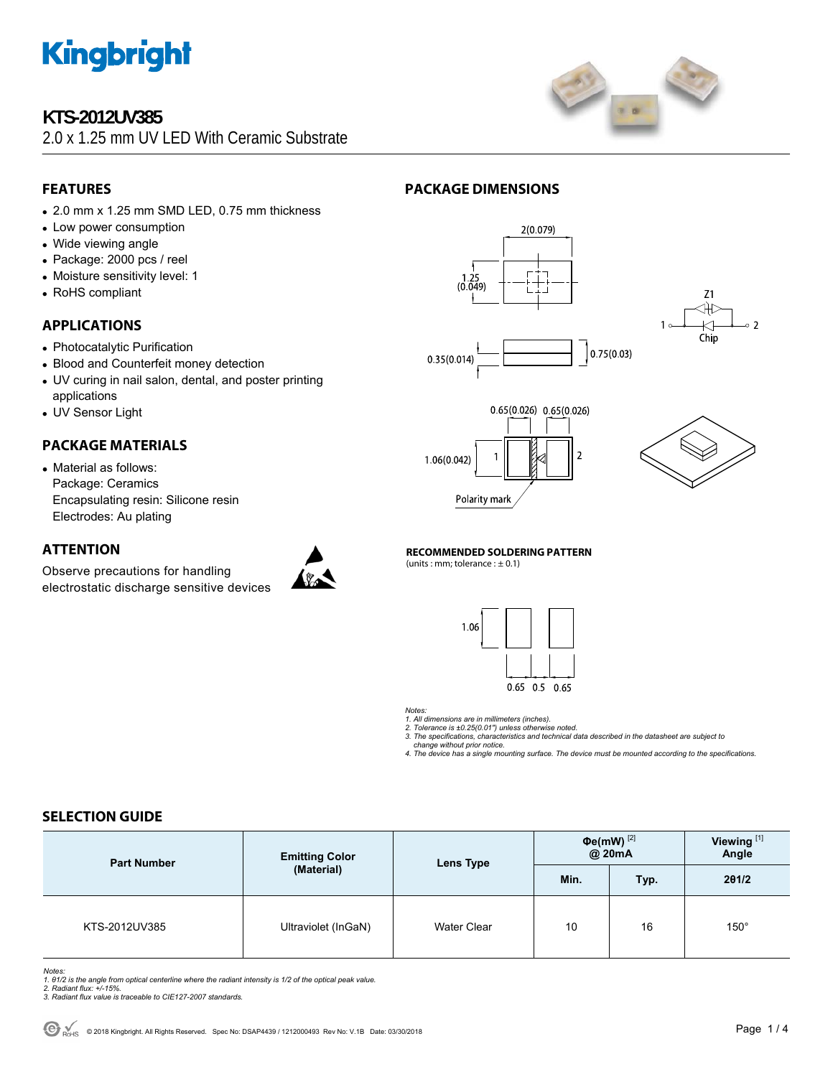

## **KTS-2012UV385**

2.0 x 1.25 mm UV LED With Ceramic Substrate



## **FEATURES**

- 2.0 mm x 1.25 mm SMD LED, 0.75 mm thickness
- Low power consumption
- Wide viewing angle
- Package: 2000 pcs / reel
- Moisture sensitivity level: 1
- RoHS compliant

## **APPLICATIONS**

- Photocatalytic Purification
- Blood and Counterfeit money detection
- UV curing in nail salon, dental, and poster printing applications
- UV Sensor Light

## **PACKAGE MATERIALS**

• Material as follows: Package: Ceramics Encapsulating resin: Silicone resin Electrodes: Au plating

### **ATTENTION**

Observe precautions for handling electrostatic discharge sensitive devices



## **PACKAGE DIMENSIONS**









**RECOMMENDED SOLDERING PATTERN** 

(units : mm; tolerance :  $\pm$  0.1)



*Notes:* 

*1. All dimensions are in millimeters (inches). 2. Tolerance is ±0.25(0.01") unless otherwise noted. 3. The specifications, characteristics and technical data described in the datasheet are subject to* 

 *change without prior notice.* 

*4. The device has a single mounting surface. The device must be mounted according to the specifications.* 

## **SELECTION GUIDE**

| <b>Part Number</b> | <b>Emitting Color</b><br>(Material) | Lens Type          | $\Phi$ e(mW) $^{[2]}$<br>@ 20mA |      | Viewing <sup>[1]</sup><br>Angle |
|--------------------|-------------------------------------|--------------------|---------------------------------|------|---------------------------------|
|                    |                                     |                    | Min.                            | Typ. | 201/2                           |
| KTS-2012UV385      | Ultraviolet (InGaN)                 | <b>Water Clear</b> | 10                              | 16   | $150^\circ$                     |

*Notes:* 

- *1. θ1/2 is the angle from optical centerline where the radiant intensity is 1/2 of the optical peak value. 2. Radiant flux: +/-15%.*
- *3. Radiant flux value is traceable to CIE127-2007 standards.*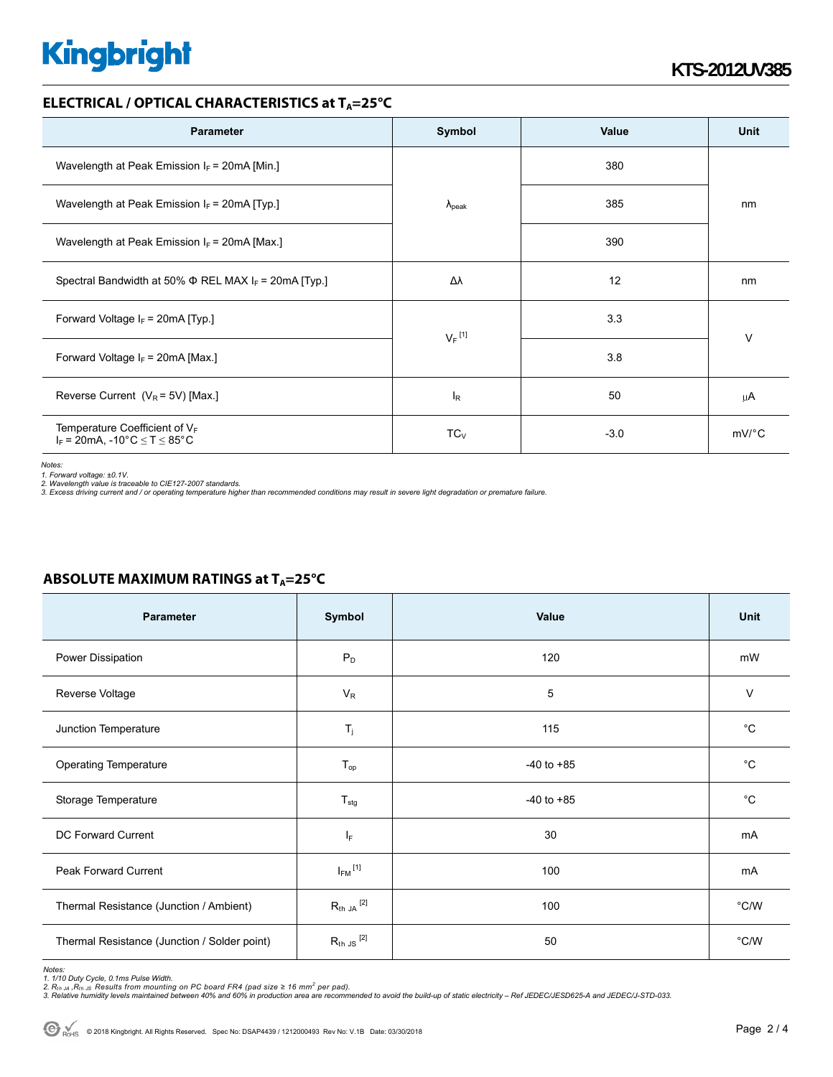# **Kingbright**

### **ELECTRICAL / OPTICAL CHARACTERISTICS at T<sub>A</sub>=25°C**

| <b>Parameter</b>                                                           | Symbol               | Value  | Unit    |  |
|----------------------------------------------------------------------------|----------------------|--------|---------|--|
| Wavelength at Peak Emission $I_F$ = 20mA [Min.]                            | $\lambda_{\rm peak}$ | 380    | nm      |  |
| Wavelength at Peak Emission $I_F$ = 20mA [Typ.]                            |                      | 385    |         |  |
| Wavelength at Peak Emission $I_F$ = 20mA [Max.]                            |                      | 390    |         |  |
| Spectral Bandwidth at 50% $\Phi$ REL MAX I <sub>F</sub> = 20mA [Typ.]      | Δλ                   | 12     | nm      |  |
| Forward Voltage $I_F$ = 20mA [Typ.]                                        | $V_F$ <sup>[1]</sup> | 3.3    |         |  |
| Forward Voltage $I_F$ = 20mA [Max.]                                        |                      | 3.8    | $\vee$  |  |
| Reverse Current $(V_R = 5V)$ [Max.]                                        | $I_R$                | 50     | μA      |  |
| Temperature Coefficient of $V_F$<br>$I_F = 20mA$ , -10°C $\le T \le 85$ °C | $TC_V$               | $-3.0$ | $mV$ °C |  |

*Notes:* 

*1. Forward voltage: ±0.1V.* 

2. Wavelength value is traceable to CIE127-2007 standards.<br>3. Excess driving current and / or operating temperature higher than recommended conditions may result in severe light degradation or premature failure.

| Parameter                                    | Symbol                  | Value          | <b>Unit</b>  |
|----------------------------------------------|-------------------------|----------------|--------------|
| Power Dissipation                            | $P_D$                   | 120            | mW           |
| Reverse Voltage                              | $V_R$                   | 5              | $\vee$       |
| Junction Temperature                         | $T_j$                   | 115            | $^{\circ}$ C |
| <b>Operating Temperature</b>                 | $T_{op}$                | $-40$ to $+85$ | $^{\circ}C$  |
| Storage Temperature                          | $T_{\text{stg}}$        | $-40$ to $+85$ | $^{\circ}C$  |
| <b>DC Forward Current</b>                    | IF.                     | 30             | mA           |
| Peak Forward Current                         | $I_{FM}$ <sup>[1]</sup> | 100            | mA           |
| Thermal Resistance (Junction / Ambient)      | $R_{th}$ ja $^{[2]}$    | 100            | °C/W         |
| Thermal Resistance (Junction / Solder point) | $R_{th}$ JS $^{[2]}$    | 50             | °C/W         |

### **ABSOLUTE MAXIMUM RATINGS at T<sub>A</sub>=25°C**

*Notes:* 

1. 1/10 Duty Cycle, 0.1ms Pulse Width.<br>2. R<sub>th Ju</sub> ,R<sub>h JS</sub> Results from mounting on PC board FR4 (pad size ≥ 16 mm² per pad).<br>3. Relative humidity levels maintained between 40% and 60% in production area are recommended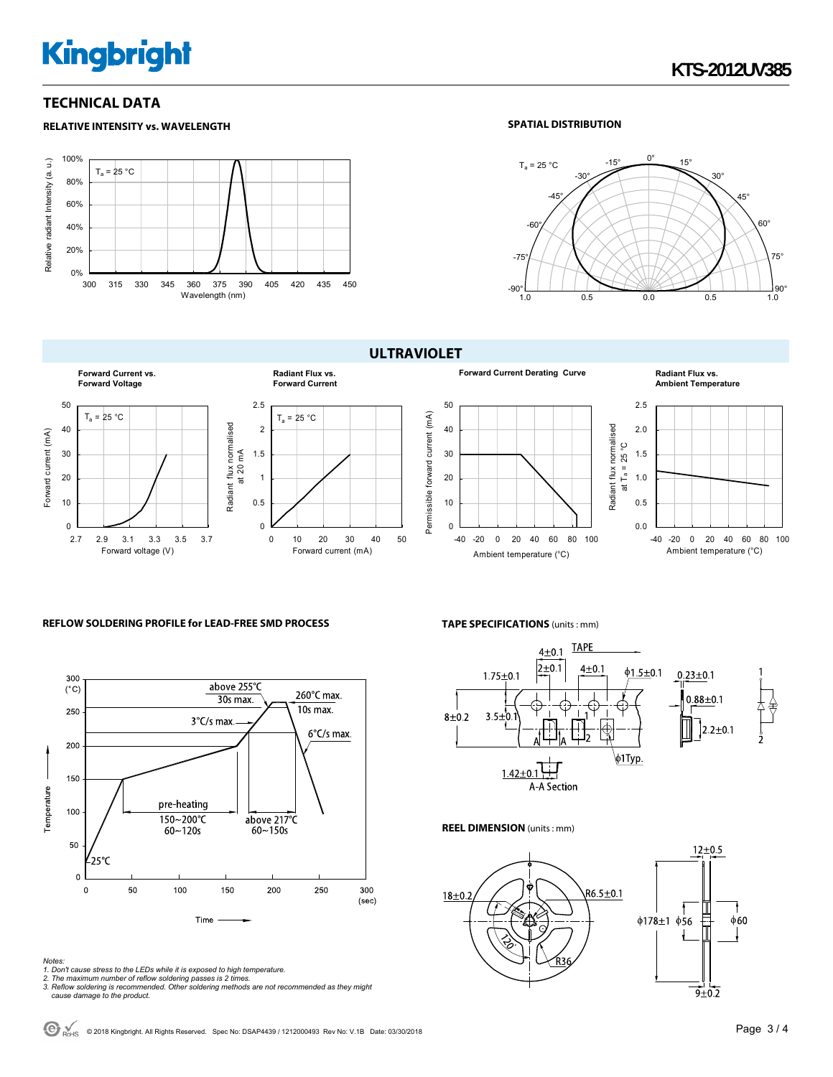# **Kingbright**

### **TECHNICAL DATA**

#### **RELATIVE INTENSITY vs. WAVELENGTH**



#### **SPATIAL DISTRIBUTION**



**Forward Current vs. Radiant Flux vs. Forward Voltage Forward Current** 50 2.5  $T_a = 25 °C$  $T_a = 25 °C$ Radiant flux normalised<br>at 20 mA Radiant flux normalised 40 2 Forward current (mA) Forward current (mA) 30 1.5 at 20 mA 20 1 10 0.5  $\Omega$  $\Omega$ 0 10 20 30 40 50 2.7 2.9 3.1 3.3 3.5 3.7 Forward voltage (V) Forward current (mA)

# **ULTRAVIOLET**



#### **Forward Current Derating Curve <b>Radiant Flux vs. Ambient Temperature**



#### **REFLOW SOLDERING PROFILE for LEAD-FREE SMD PROCESS**



#### *Notes:*

*1. Don't cause stress to the LEDs while it is exposed to high temperature.* 

*2. The maximum number of reflow soldering passes is 2 times. 3. Reflow soldering is recommended. Other soldering methods are not recommended as they might cause damage to the product.* 

#### **TAPE SPECIFICATIONS** (units : mm)



#### **REEL DIMENSION** (units : mm)